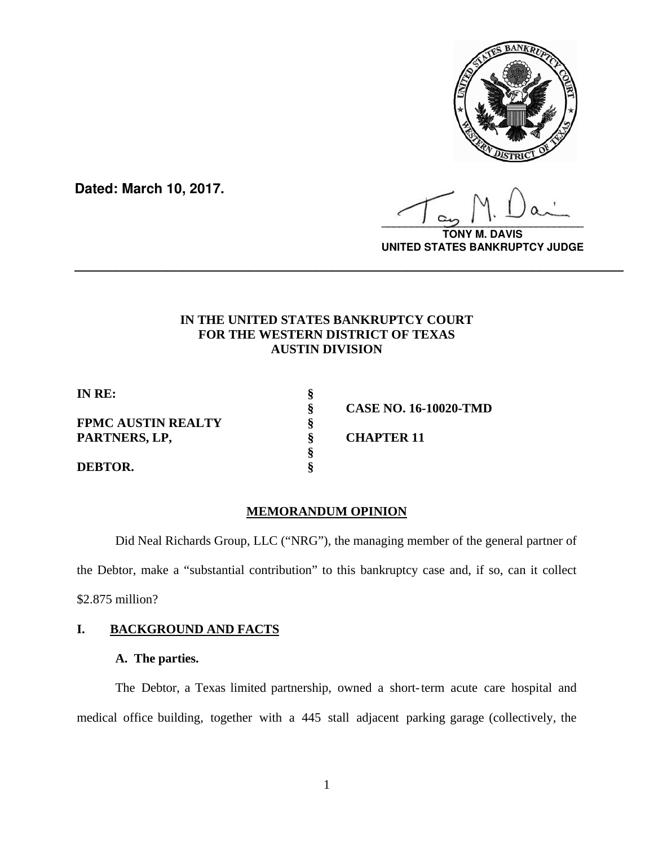

**Dated: March 10, 2017.**

**\_\_\_\_\_\_\_\_\_\_\_\_\_\_\_\_\_\_\_\_\_\_\_\_\_\_\_\_\_\_\_\_\_\_**

**TONY M. DAVIS UNITED STATES BANKRUPTCY JUDGE**

# **IN THE UNITED STATES BANKRUPTCY COURT FOR THE WESTERN DISTRICT OF TEXAS AUSTIN DIVISION**

**\_\_\_\_\_\_\_\_\_\_\_\_\_\_\_\_\_\_\_\_\_\_\_\_\_\_\_\_\_\_\_\_\_\_\_\_\_\_\_\_\_\_\_\_\_\_\_\_\_\_\_\_\_\_\_\_\_\_\_\_\_\_\_\_\_\_**

**IN RE: §** 

**FPMC AUSTIN REALTY § PARTNERS, LP, § CHAPTER 11 §** 

**DEBTOR. §** 

 **§ CASE NO. 16-10020-TMD** 

# **MEMORANDUM OPINION**

Did Neal Richards Group, LLC ("NRG"), the managing member of the general partner of the Debtor, make a "substantial contribution" to this bankruptcy case and, if so, can it collect \$2.875 million?

# **I. BACKGROUND AND FACTS**

# **A. The parties.**

The Debtor, a Texas limited partnership, owned a short-term acute care hospital and medical office building, together with a 445 stall adjacent parking garage (collectively, the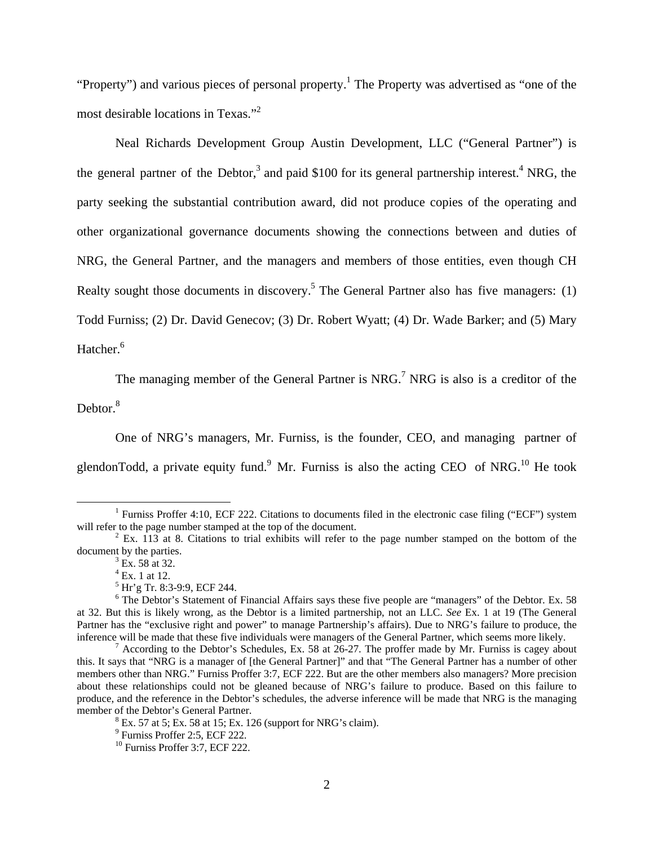"Property") and various pieces of personal property.<sup>1</sup> The Property was advertised as "one of the most desirable locations in Texas."<sup>2</sup>

 Neal Richards Development Group Austin Development, LLC ("General Partner") is the general partner of the Debtor,<sup>3</sup> and paid \$100 for its general partnership interest.<sup>4</sup> NRG, the party seeking the substantial contribution award, did not produce copies of the operating and other organizational governance documents showing the connections between and duties of NRG, the General Partner, and the managers and members of those entities, even though CH Realty sought those documents in discovery.<sup>5</sup> The General Partner also has five managers:  $(1)$ Todd Furniss; (2) Dr. David Genecov; (3) Dr. Robert Wyatt; (4) Dr. Wade Barker; and (5) Mary Hatcher.<sup>6</sup>

The managing member of the General Partner is NRG.<sup>7</sup> NRG is also is a creditor of the Debtor. $8<sup>8</sup>$ 

 One of NRG's managers, Mr. Furniss, is the founder, CEO, and managing partner of glendonTodd, a private equity fund.<sup>9</sup> Mr. Furniss is also the acting CEO of NRG.<sup>10</sup> He took

 $\frac{1}{1}$ <sup>1</sup> Furniss Proffer 4:10, ECF 222. Citations to documents filed in the electronic case filing ("ECF") system will refer to the page number stamped at the top of the document.

 $^{2}$  Ex. 113 at 8. Citations to trial exhibits will refer to the page number stamped on the bottom of the document by the parties.

 $3$  Ex. 58 at 32.

 $^{4}$  Ex. 1 at 12.

<sup>5</sup> Hr'g Tr. 8:3-9:9, ECF 244.

<sup>&</sup>lt;sup>6</sup> The Debtor's Statement of Financial Affairs says these five people are "managers" of the Debtor. Ex. 58 at 32. But this is likely wrong, as the Debtor is a limited partnership, not an LLC. *See* Ex. 1 at 19 (The General Partner has the "exclusive right and power" to manage Partnership's affairs). Due to NRG's failure to produce, the inference will be made that these five individuals were managers of the General Partner, which seems more likely. 7

According to the Debtor's Schedules, Ex. 58 at 26-27. The proffer made by Mr. Furniss is cagey about this. It says that "NRG is a manager of [the General Partner]" and that "The General Partner has a number of other members other than NRG." Furniss Proffer 3:7, ECF 222. But are the other members also managers? More precision about these relationships could not be gleaned because of NRG's failure to produce. Based on this failure to produce, and the reference in the Debtor's schedules, the adverse inference will be made that NRG is the managing member of the Debtor's General Partner.

 $8$  Ex. 57 at 5; Ex. 58 at 15; Ex. 126 (support for NRG's claim).

<sup>9</sup> Furniss Proffer 2:5, ECF 222.

<sup>&</sup>lt;sup>10</sup> Furniss Proffer 3:7, ECF 222.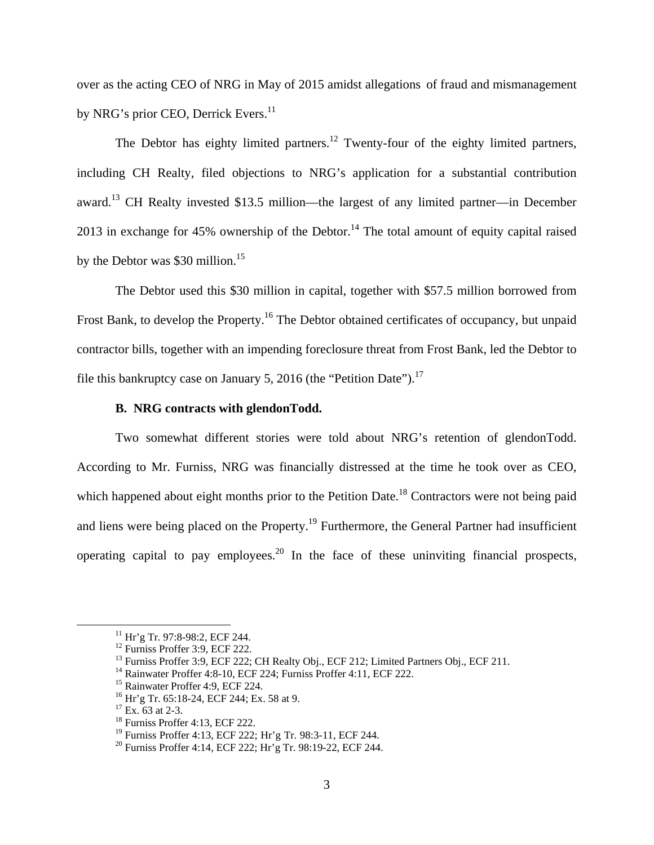over as the acting CEO of NRG in May of 2015 amidst allegations of fraud and mismanagement by NRG's prior CEO, Derrick Evers.<sup>11</sup>

The Debtor has eighty limited partners.<sup>12</sup> Twenty-four of the eighty limited partners, including CH Realty, filed objections to NRG's application for a substantial contribution award.<sup>13</sup> CH Realty invested \$13.5 million—the largest of any limited partner—in December 2013 in exchange for 45% ownership of the Debtor.<sup>14</sup> The total amount of equity capital raised by the Debtor was \$30 million.<sup>15</sup>

 The Debtor used this \$30 million in capital, together with \$57.5 million borrowed from Frost Bank, to develop the Property.<sup>16</sup> The Debtor obtained certificates of occupancy, but unpaid contractor bills, together with an impending foreclosure threat from Frost Bank, led the Debtor to file this bankruptcy case on January 5, 2016 (the "Petition Date").<sup>17</sup>

### **B. NRG contracts with glendonTodd.**

Two somewhat different stories were told about NRG's retention of glendonTodd. According to Mr. Furniss, NRG was financially distressed at the time he took over as CEO, which happened about eight months prior to the Petition Date.<sup>18</sup> Contractors were not being paid and liens were being placed on the Property.<sup>19</sup> Furthermore, the General Partner had insufficient operating capital to pay employees.<sup>20</sup> In the face of these uninviting financial prospects,

<sup>&</sup>lt;sup>11</sup> Hr'g Tr. 97:8-98:2, ECF 244.

<sup>&</sup>lt;sup>12</sup> Furniss Proffer 3:9, ECF 222.

<sup>&</sup>lt;sup>13</sup> Furniss Proffer 3:9, ECF 222; CH Realty Obj., ECF 212; Limited Partners Obj., ECF 211.

<sup>&</sup>lt;sup>14</sup> Rainwater Proffer 4:8-10, ECF 224; Furniss Proffer 4:11, ECF 222.

<sup>&</sup>lt;sup>15</sup> Rainwater Proffer 4:9, ECF 224.

<sup>&</sup>lt;sup>16</sup> Hr'g Tr. 65:18-24, ECF 244; Ex. 58 at 9.

 $17$  Ex. 63 at 2-3.

<sup>18</sup> Furniss Proffer 4:13, ECF 222.

<sup>19</sup> Furniss Proffer 4:13, ECF 222; Hr'g Tr. 98:3-11, ECF 244.

<sup>20</sup> Furniss Proffer 4:14, ECF 222; Hr'g Tr. 98:19-22, ECF 244.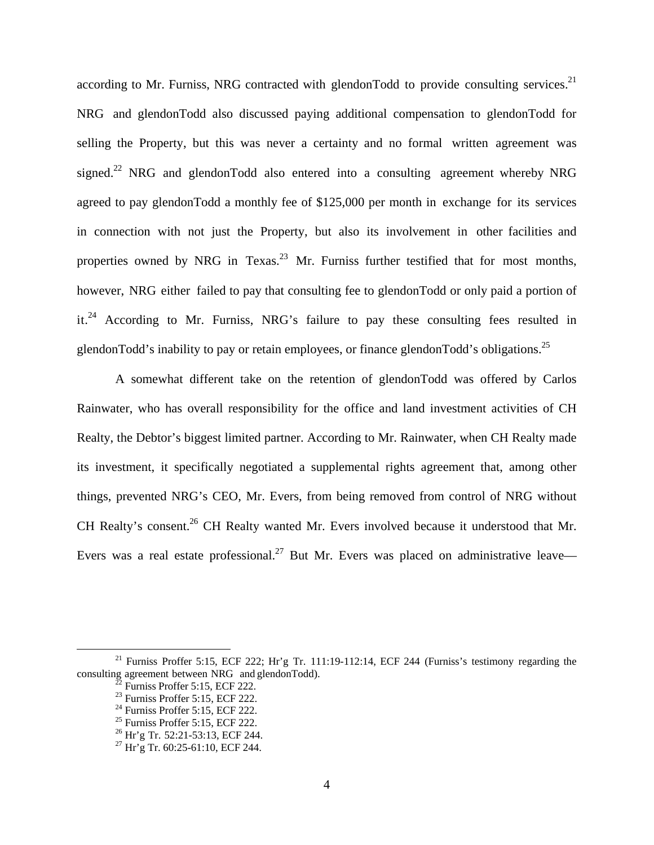according to Mr. Furniss, NRG contracted with glendonTodd to provide consulting services.<sup>21</sup> NRG and glendonTodd also discussed paying additional compensation to glendonTodd for selling the Property, but this was never a certainty and no formal written agreement was signed.<sup>22</sup> NRG and glendonTodd also entered into a consulting agreement whereby NRG agreed to pay glendonTodd a monthly fee of \$125,000 per month in exchange for its services in connection with not just the Property, but also its involvement in other facilities and properties owned by NRG in Texas.<sup>23</sup> Mr. Furniss further testified that for most months, however, NRG either failed to pay that consulting fee to glendonTodd or only paid a portion of it.24 According to Mr. Furniss, NRG's failure to pay these consulting fees resulted in glendonTodd's inability to pay or retain employees, or finance glendonTodd's obligations.<sup>25</sup>

A somewhat different take on the retention of glendonTodd was offered by Carlos Rainwater, who has overall responsibility for the office and land investment activities of CH Realty, the Debtor's biggest limited partner. According to Mr. Rainwater, when CH Realty made its investment, it specifically negotiated a supplemental rights agreement that, among other things, prevented NRG's CEO, Mr. Evers, from being removed from control of NRG without CH Realty's consent.<sup>26</sup> CH Realty wanted Mr. Evers involved because it understood that Mr. Evers was a real estate professional.<sup>27</sup> But Mr. Evers was placed on administrative leave—

<sup>&</sup>lt;sup>21</sup> Furniss Proffer 5:15, ECF 222; Hr'g Tr. 111:19-112:14, ECF 244 (Furniss's testimony regarding the consulting agreement between NRG and glendonTodd). 22 Furniss Proffer 5:15, ECF 222.

<sup>23</sup> Furniss Proffer 5:15, ECF 222.

<sup>&</sup>lt;sup>24</sup> Furniss Proffer 5:15, ECF 222.

 $25$  Furniss Proffer 5:15, ECF 222.

<sup>26</sup> Hr'g Tr. 52:21-53:13, ECF 244.

 $27$  Hr'g Tr. 60:25-61:10, ECF 244.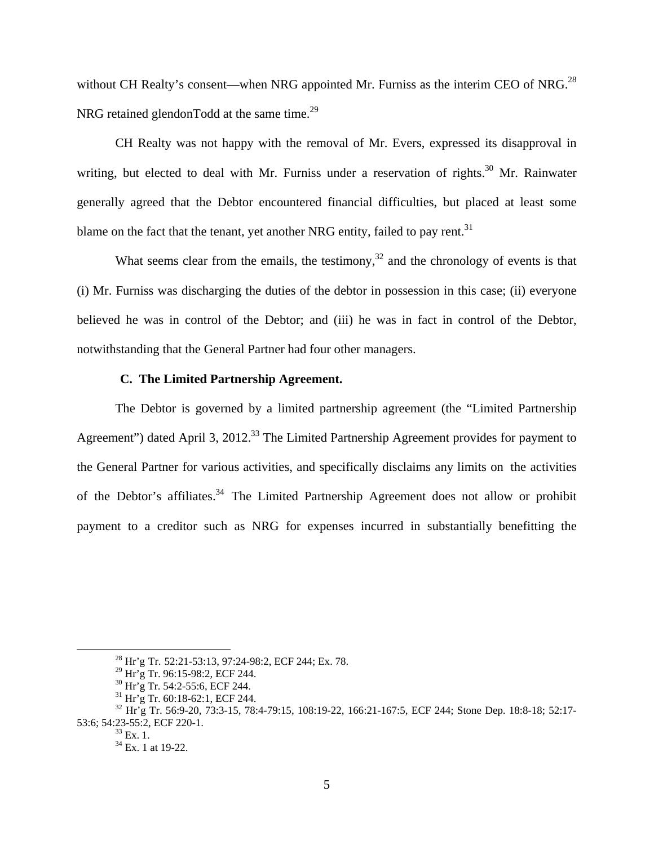without CH Realty's consent—when NRG appointed Mr. Furniss as the interim CEO of NRG.<sup>28</sup> NRG retained glendonTodd at the same time.<sup>29</sup>

CH Realty was not happy with the removal of Mr. Evers, expressed its disapproval in writing, but elected to deal with Mr. Furniss under a reservation of rights.<sup>30</sup> Mr. Rainwater generally agreed that the Debtor encountered financial difficulties, but placed at least some blame on the fact that the tenant, yet another NRG entity, failed to pay rent.<sup>31</sup>

What seems clear from the emails, the testimony, $32$  and the chronology of events is that (i) Mr. Furniss was discharging the duties of the debtor in possession in this case; (ii) everyone believed he was in control of the Debtor; and (iii) he was in fact in control of the Debtor, notwithstanding that the General Partner had four other managers.

### **C. The Limited Partnership Agreement.**

 The Debtor is governed by a limited partnership agreement (the "Limited Partnership Agreement") dated April 3, 2012.<sup>33</sup> The Limited Partnership Agreement provides for payment to the General Partner for various activities, and specifically disclaims any limits on the activities of the Debtor's affiliates.<sup>34</sup> The Limited Partnership Agreement does not allow or prohibit payment to a creditor such as NRG for expenses incurred in substantially benefitting the

 <sup>28</sup> Hr'g Tr. 52:21-53:13, 97:24-98:2, ECF 244; Ex. 78.

<sup>29</sup> Hr'g Tr. 96:15-98:2, ECF 244.

<sup>30</sup> Hr'g Tr. 54:2-55:6, ECF 244.

<sup>31</sup> Hr'g Tr. 60:18-62:1, ECF 244.

<sup>32</sup> Hr'g Tr. 56:9-20, 73:3-15, 78:4-79:15, 108:19-22, 166:21-167:5, ECF 244; Stone Dep. 18:8-18; 52:17- 53:6; 54:23-55:2, ECF 220-1.<br><sup>33</sup> Ex. 1.

<sup>34</sup> Ex. 1 at 19-22.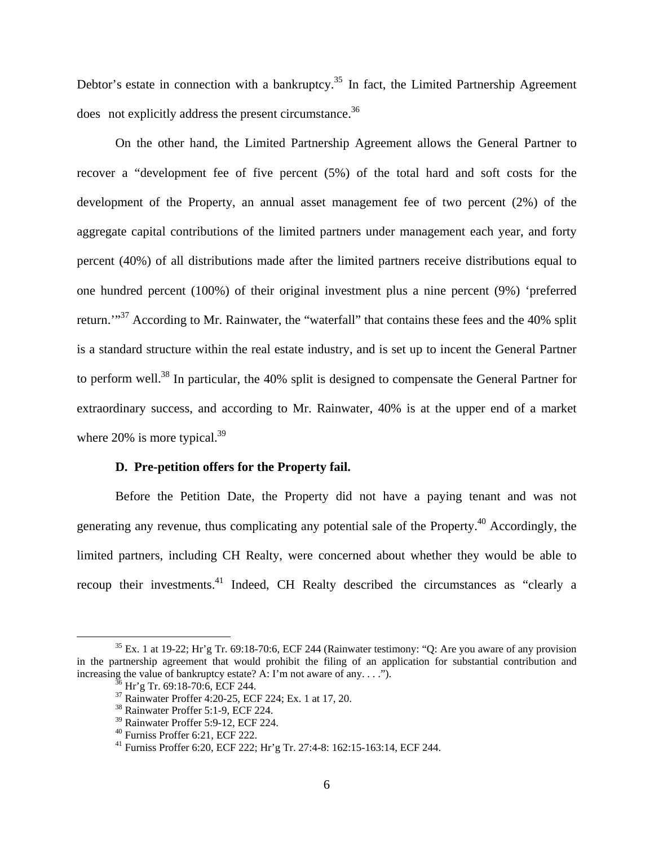Debtor's estate in connection with a bankruptcy.<sup>35</sup> In fact, the Limited Partnership Agreement does not explicitly address the present circumstance.<sup>36</sup>

 On the other hand, the Limited Partnership Agreement allows the General Partner to recover a "development fee of five percent (5%) of the total hard and soft costs for the development of the Property, an annual asset management fee of two percent (2%) of the aggregate capital contributions of the limited partners under management each year, and forty percent (40%) of all distributions made after the limited partners receive distributions equal to one hundred percent (100%) of their original investment plus a nine percent (9%) 'preferred return."<sup>37</sup> According to Mr. Rainwater, the "waterfall" that contains these fees and the 40% split is a standard structure within the real estate industry, and is set up to incent the General Partner to perform well.38 In particular, the 40% split is designed to compensate the General Partner for extraordinary success, and according to Mr. Rainwater, 40% is at the upper end of a market where  $20\%$  is more typical.<sup>39</sup>

### **D. Pre-petition offers for the Property fail.**

 Before the Petition Date, the Property did not have a paying tenant and was not generating any revenue, thus complicating any potential sale of the Property.40 Accordingly, the limited partners, including CH Realty, were concerned about whether they would be able to recoup their investments.<sup>41</sup> Indeed, CH Realty described the circumstances as "clearly a

 $35$  Ex. 1 at 19-22; Hr'g Tr. 69:18-70:6, ECF 244 (Rainwater testimony: "Q: Are you aware of any provision in the partnership agreement that would prohibit the filing of an application for substantial contribution and increasing the value of bankruptcy estate? A: I'm not aware of any. . . .").  $36$  Hr'g Tr. 69:18-70:6, ECF 244.

<sup>37</sup> Rainwater Proffer 4:20-25, ECF 224; Ex. 1 at 17, 20.

<sup>38</sup> Rainwater Proffer 5:1-9, ECF 224.

<sup>39</sup> Rainwater Proffer 5:9-12, ECF 224.

<sup>40</sup> Furniss Proffer 6:21, ECF 222.

<sup>41</sup> Furniss Proffer 6:20, ECF 222; Hr'g Tr. 27:4-8: 162:15-163:14, ECF 244.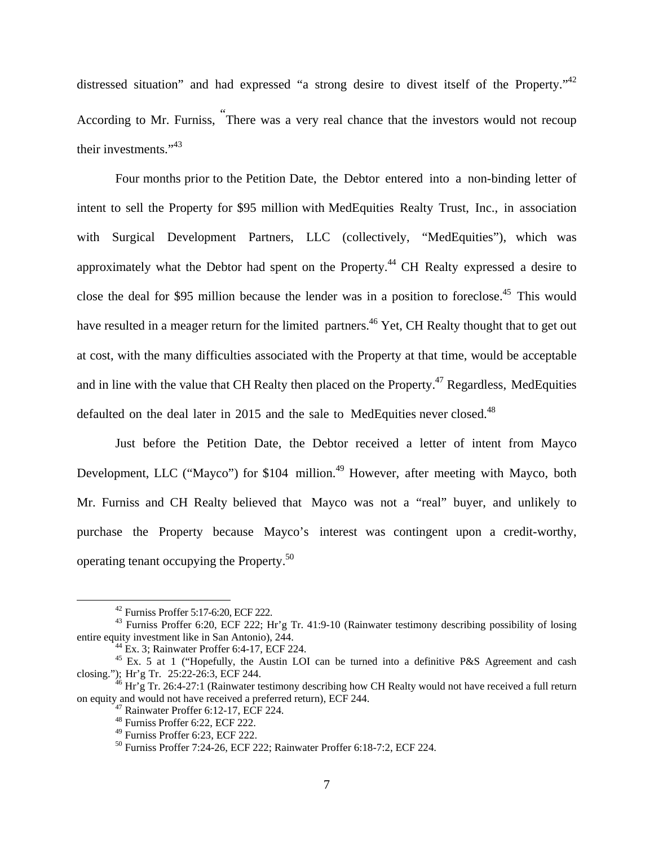distressed situation" and had expressed "a strong desire to divest itself of the Property."42 According to Mr. Furniss, " There was a very real chance that the investors would not recoup their investments."43

Four months prior to the Petition Date, the Debtor entered into a non-binding letter of intent to sell the Property for \$95 million with MedEquities Realty Trust, Inc., in association with Surgical Development Partners, LLC (collectively, "MedEquities"), which was approximately what the Debtor had spent on the Property.<sup>44</sup> CH Realty expressed a desire to close the deal for \$95 million because the lender was in a position to foreclose.<sup>45</sup> This would have resulted in a meager return for the limited partners.<sup>46</sup> Yet, CH Realty thought that to get out at cost, with the many difficulties associated with the Property at that time, would be acceptable and in line with the value that CH Realty then placed on the Property.<sup>47</sup> Regardless, MedEquities defaulted on the deal later in 2015 and the sale to MedEquities never closed.<sup>48</sup>

Just before the Petition Date, the Debtor received a letter of intent from Mayco Development, LLC ("Mayco") for \$104 million.<sup>49</sup> However, after meeting with Mayco, both Mr. Furniss and CH Realty believed that Mayco was not a "real" buyer, and unlikely to purchase the Property because Mayco's interest was contingent upon a credit-worthy, operating tenant occupying the Property.50

 <sup>42</sup> Furniss Proffer 5:17-6:20, ECF 222.

<sup>43</sup> Furniss Proffer 6:20, ECF 222; Hr'g Tr. 41:9-10 (Rainwater testimony describing possibility of losing entire equity investment like in San Antonio),  $2\overline{44}$ .<br><sup>44</sup> Ex. 3; Rainwater Proffer 6:4-17, ECF 224.

<sup>&</sup>lt;sup>45</sup> Ex. 5 at 1 ("Hopefully, the Austin LOI can be turned into a definitive P&S Agreement and cash closing."); Hr'g Tr. 25:22-26:3, ECF 244.

 $^{46}$  Hr'g Tr. 26:4-27:1 (Rainwater testimony describing how CH Realty would not have received a full return on equity and would not have received a preferred return), ECF 244. 47 Rainwater Proffer 6:12-17, ECF 224.

<sup>48</sup> Furniss Proffer 6:22, ECF 222.

<sup>49</sup> Furniss Proffer 6:23, ECF 222.

<sup>50</sup> Furniss Proffer 7:24-26, ECF 222; Rainwater Proffer 6:18-7:2, ECF 224.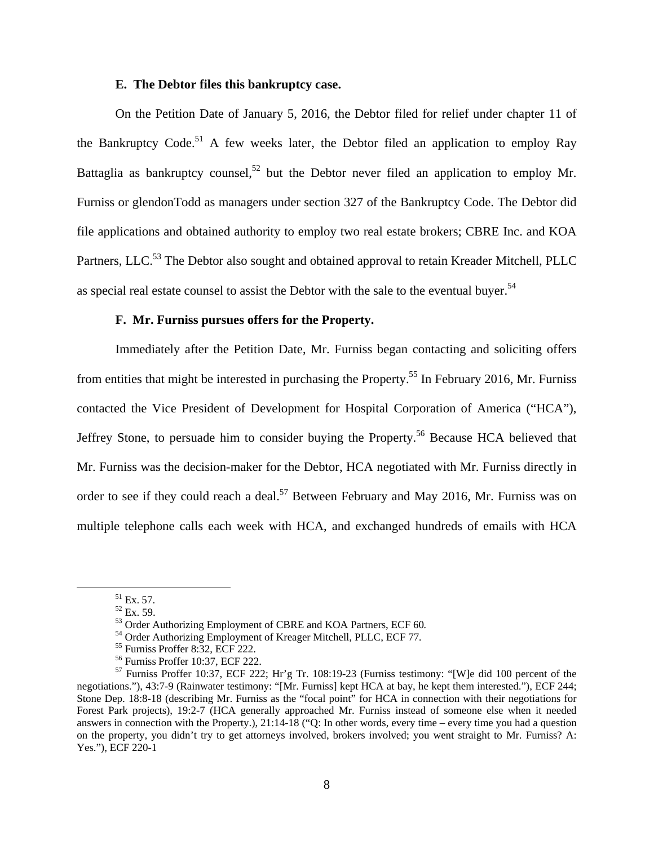### **E. The Debtor files this bankruptcy case.**

 On the Petition Date of January 5, 2016, the Debtor filed for relief under chapter 11 of the Bankruptcy Code.<sup>51</sup> A few weeks later, the Debtor filed an application to employ Ray Battaglia as bankruptcy counsel,<sup>52</sup> but the Debtor never filed an application to employ Mr. Furniss or glendonTodd as managers under section 327 of the Bankruptcy Code. The Debtor did file applications and obtained authority to employ two real estate brokers; CBRE Inc. and KOA Partners, LLC.<sup>53</sup> The Debtor also sought and obtained approval to retain Kreader Mitchell, PLLC as special real estate counsel to assist the Debtor with the sale to the eventual buyer.<sup>54</sup>

### **F. Mr. Furniss pursues offers for the Property.**

Immediately after the Petition Date, Mr. Furniss began contacting and soliciting offers from entities that might be interested in purchasing the Property.<sup>55</sup> In February 2016, Mr. Furniss contacted the Vice President of Development for Hospital Corporation of America ("HCA"), Jeffrey Stone, to persuade him to consider buying the Property.<sup>56</sup> Because HCA believed that Mr. Furniss was the decision-maker for the Debtor, HCA negotiated with Mr. Furniss directly in order to see if they could reach a deal.<sup>57</sup> Between February and May 2016, Mr. Furniss was on multiple telephone calls each week with HCA, and exchanged hundreds of emails with HCA

 $51$  Ex. 57.

 $\frac{52}{52}$  Ex. 59.<br>
53 Order Authorizing Employment of CBRE and KOA Partners, ECF 60.

<sup>&</sup>lt;sup>54</sup> Order Authorizing Employment of Kreager Mitchell, PLLC, ECF 77.<br><sup>55</sup> Furniss Proffer 8:32, ECF 222.

<sup>56</sup> Furniss Proffer 10:37, ECF 222.

<sup>57</sup> Furniss Proffer 10:37, ECF 222; Hr'g Tr. 108:19-23 (Furniss testimony: "[W]e did 100 percent of the negotiations."), 43:7-9 (Rainwater testimony: "[Mr. Furniss] kept HCA at bay, he kept them interested."), ECF 244; Stone Dep. 18:8-18 (describing Mr. Furniss as the "focal point" for HCA in connection with their negotiations for Forest Park projects), 19:2-7 (HCA generally approached Mr. Furniss instead of someone else when it needed answers in connection with the Property.), 21:14-18 ("Q: In other words, every time – every time you had a question on the property, you didn't try to get attorneys involved, brokers involved; you went straight to Mr. Furniss? A: Yes."), ECF 220-1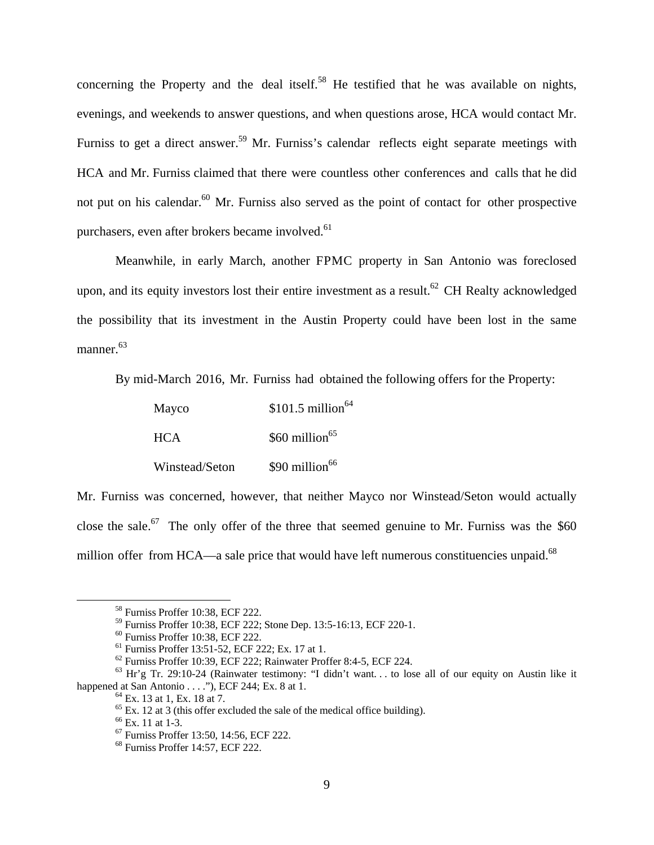concerning the Property and the deal itself.<sup>58</sup> He testified that he was available on nights, evenings, and weekends to answer questions, and when questions arose, HCA would contact Mr. Furniss to get a direct answer.<sup>59</sup> Mr. Furniss's calendar reflects eight separate meetings with HCA and Mr. Furniss claimed that there were countless other conferences and calls that he did not put on his calendar. $60$  Mr. Furniss also served as the point of contact for other prospective purchasers, even after brokers became involved.<sup>61</sup>

 Meanwhile, in early March, another FPMC property in San Antonio was foreclosed upon, and its equity investors lost their entire investment as a result.<sup>62</sup> CH Realty acknowledged the possibility that its investment in the Austin Property could have been lost in the same manner.<sup>63</sup>

By mid-March 2016, Mr. Furniss had obtained the following offers for the Property:

| Mayco          | $$101.5$ million <sup>64</sup> |
|----------------|--------------------------------|
| <b>HCA</b>     | $$60$ million <sup>65</sup>    |
| Winstead/Seton | $$90$ million <sup>66</sup>    |

Mr. Furniss was concerned, however, that neither Mayco nor Winstead/Seton would actually close the sale.<sup>67</sup> The only offer of the three that seemed genuine to Mr. Furniss was the  $$60$ million offer from HCA—a sale price that would have left numerous constituencies unpaid. $^{68}$ 

 <sup>58</sup> Furniss Proffer 10:38, ECF 222.

<sup>59</sup> Furniss Proffer 10:38, ECF 222; Stone Dep. 13:5-16:13, ECF 220-1.

<sup>60</sup> Furniss Proffer 10:38, ECF 222.

<sup>61</sup> Furniss Proffer 13:51-52, ECF 222; Ex. 17 at 1.

 $62$  Furniss Proffer 10:39, ECF 222; Rainwater Proffer 8:4-5, ECF 224.

<sup>63</sup> Hr'g Tr. 29:10-24 (Rainwater testimony: "I didn't want. . . to lose all of our equity on Austin like it happened at San Antonio . . . ."), ECF 244; Ex. 8 at 1.<br><sup>64</sup> Ex. 13 at 1, Ex. 18 at 7.

 $65$  Ex. 12 at 3 (this offer excluded the sale of the medical office building).

<sup>66</sup> Ex. 11 at 1-3.

<sup>67</sup> Furniss Proffer 13:50, 14:56, ECF 222.

<sup>68</sup> Furniss Proffer 14:57, ECF 222.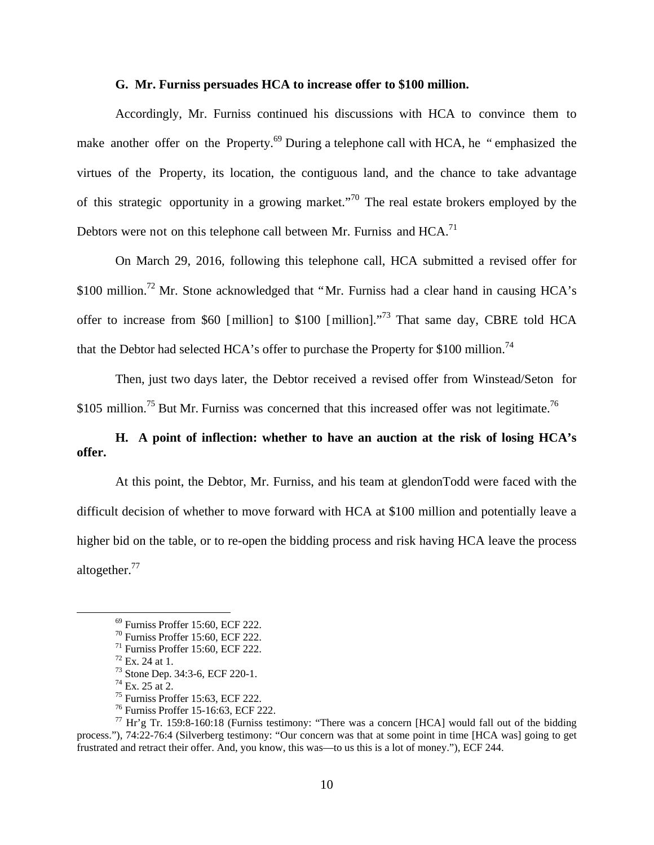#### **G. Mr. Furniss persuades HCA to increase offer to \$100 million.**

Accordingly, Mr. Furniss continued his discussions with HCA to convince them to make another offer on the Property.<sup>69</sup> During a telephone call with HCA, he "emphasized the virtues of the Property, its location, the contiguous land, and the chance to take advantage of this strategic opportunity in a growing market."<sup>70</sup> The real estate brokers employed by the Debtors were not on this telephone call between Mr. Furniss and HCA.<sup>71</sup>

On March 29, 2016, following this telephone call, HCA submitted a revised offer for \$100 million.<sup>72</sup> Mr. Stone acknowledged that "Mr. Furniss had a clear hand in causing HCA's offer to increase from \$60 [million] to \$100 [million]."<sup>73</sup> That same day, CBRE told HCA that the Debtor had selected HCA's offer to purchase the Property for \$100 million.<sup>74</sup>

Then, just two days later, the Debtor received a revised offer from Winstead/Seton for \$105 million.<sup>75</sup> But Mr. Furniss was concerned that this increased offer was not legitimate.<sup>76</sup>

# **H. A point of inflection: whether to have an auction at the risk of losing HCA's offer.**

At this point, the Debtor, Mr. Furniss, and his team at glendonTodd were faced with the difficult decision of whether to move forward with HCA at \$100 million and potentially leave a higher bid on the table, or to re-open the bidding process and risk having HCA leave the process altogether.<sup>77</sup>

 <sup>69</sup> Furniss Proffer 15:60, ECF 222.

<sup>70</sup> Furniss Proffer 15:60, ECF 222.

 $71$  Furniss Proffer 15:60, ECF 222.

 $72$  Ex. 24 at 1.

<sup>73</sup> Stone Dep. 34:3-6, ECF 220-1.

 $74$  Ex. 25 at 2.

<sup>75</sup> Furniss Proffer 15:63, ECF 222.

<sup>76</sup> Furniss Proffer 15-16:63, ECF 222.

 $^{77}$  Hr'g Tr. 159:8-160:18 (Furniss testimony: "There was a concern [HCA] would fall out of the bidding process."), 74:22-76:4 (Silverberg testimony: "Our concern was that at some point in time [HCA was] going to get frustrated and retract their offer. And, you know, this was—to us this is a lot of money."), ECF 244.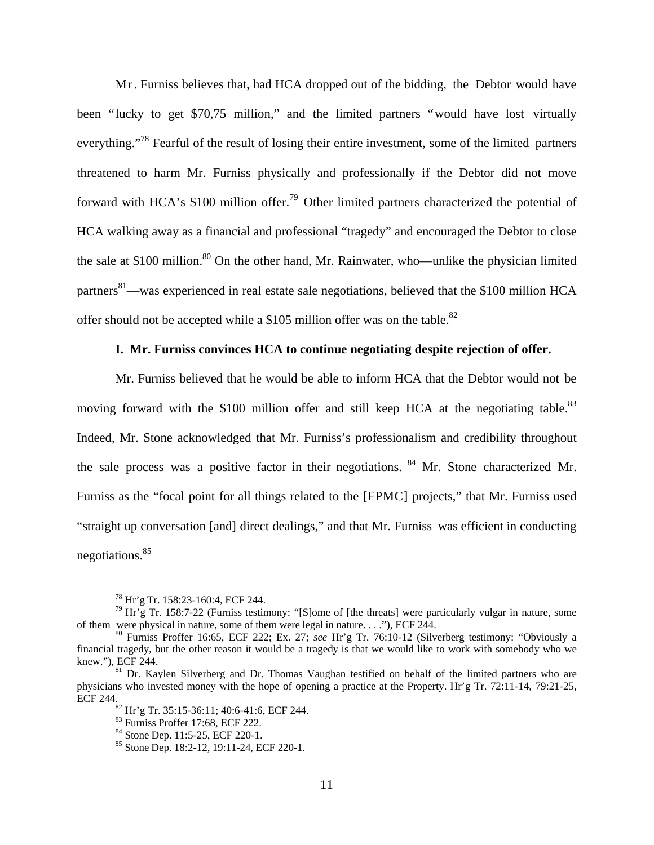Mr. Furniss believes that, had HCA dropped out of the bidding, the Debtor would have been "lucky to get \$70,75 million," and the limited partners "would have lost virtually everything."<sup>78</sup> Fearful of the result of losing their entire investment, some of the limited partners threatened to harm Mr. Furniss physically and professionally if the Debtor did not move forward with HCA's \$100 million offer.<sup>79</sup> Other limited partners characterized the potential of HCA walking away as a financial and professional "tragedy" and encouraged the Debtor to close the sale at \$100 million.<sup>80</sup> On the other hand, Mr. Rainwater, who—unlike the physician limited partners<sup>81</sup>—was experienced in real estate sale negotiations, believed that the \$100 million HCA offer should not be accepted while a \$105 million offer was on the table.<sup>82</sup>

## **I. Mr. Furniss convinces HCA to continue negotiating despite rejection of offer.**

Mr. Furniss believed that he would be able to inform HCA that the Debtor would not be moving forward with the \$100 million offer and still keep HCA at the negotiating table.<sup>83</sup> Indeed, Mr. Stone acknowledged that Mr. Furniss's professionalism and credibility throughout the sale process was a positive factor in their negotiations. <sup>84</sup> Mr. Stone characterized Mr. Furniss as the "focal point for all things related to the [FPMC] projects," that Mr. Furniss used "straight up conversation [and] direct dealings," and that Mr. Furniss was efficient in conducting negotiations.85

 <sup>78</sup> Hr'g Tr. 158:23-160:4, ECF 244.

 $79$  Hr'g Tr. 158:7-22 (Furniss testimony: "[S]ome of [the threats] were particularly vulgar in nature, some of them were physical in nature, some of them were legal in nature. . . ."), ECF 244.

<sup>80</sup> Furniss Proffer 16:65, ECF 222; Ex. 27; *see* Hr'g Tr. 76:10-12 (Silverberg testimony: "Obviously a financial tragedy, but the other reason it would be a tragedy is that we would like to work with somebody who we

<sup>&</sup>lt;sup>81</sup> Dr. Kaylen Silverberg and Dr. Thomas Vaughan testified on behalf of the limited partners who are physicians who invested money with the hope of opening a practice at the Property. Hr'g Tr. 72:11-14, 79:21-25, ECF 244.<br><sup>82</sup> Hr'g Tr. 35:15-36:11; 40:6-41:6, ECF 244.

<sup>83</sup> Furniss Proffer 17:68, ECF 222.

<sup>84</sup> Stone Dep. 11:5-25, ECF 220-1.

<sup>&</sup>lt;sup>85</sup> Stone Dep. 18:2-12, 19:11-24, ECF 220-1.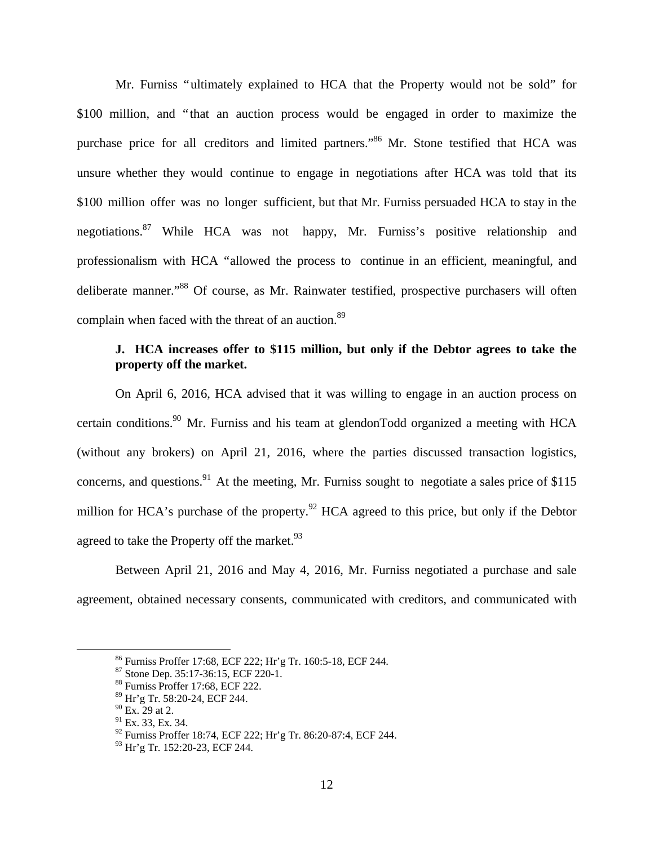Mr. Furniss "ultimately explained to HCA that the Property would not be sold" for \$100 million, and "that an auction process would be engaged in order to maximize the purchase price for all creditors and limited partners."<sup>86</sup> Mr. Stone testified that HCA was unsure whether they would continue to engage in negotiations after HCA was told that its \$100 million offer was no longer sufficient, but that Mr. Furniss persuaded HCA to stay in the negotiations.87 While HCA was not happy, Mr. Furniss's positive relationship and professionalism with HCA "allowed the process to continue in an efficient, meaningful, and deliberate manner."<sup>88</sup> Of course, as Mr. Rainwater testified, prospective purchasers will often complain when faced with the threat of an auction.<sup>89</sup>

# **J. HCA increases offer to \$115 million, but only if the Debtor agrees to take the property off the market.**

On April 6, 2016, HCA advised that it was willing to engage in an auction process on certain conditions.<sup>90</sup> Mr. Furniss and his team at glendonTodd organized a meeting with HCA (without any brokers) on April 21, 2016, where the parties discussed transaction logistics, concerns, and questions.<sup>91</sup> At the meeting, Mr. Furniss sought to negotiate a sales price of \$115 million for HCA's purchase of the property.<sup>92</sup> HCA agreed to this price, but only if the Debtor agreed to take the Property off the market. $93$ 

Between April 21, 2016 and May 4, 2016, Mr. Furniss negotiated a purchase and sale agreement, obtained necessary consents, communicated with creditors, and communicated with

 <sup>86</sup> Furniss Proffer 17:68, ECF 222; Hr'g Tr. 160:5-18, ECF 244.

<sup>87</sup> Stone Dep. 35:17-36:15, ECF 220-1.

<sup>88</sup> Furniss Proffer 17:68, ECF 222.

<sup>89</sup> Hr'g Tr. 58:20-24, ECF 244.

 $90$  Ex. 29 at 2.

 $91$  Ex. 33, Ex. 34.

<sup>92</sup> Furniss Proffer 18:74, ECF 222; Hr'g Tr. 86:20-87:4, ECF 244.

<sup>93</sup> Hr'g Tr. 152:20-23, ECF 244.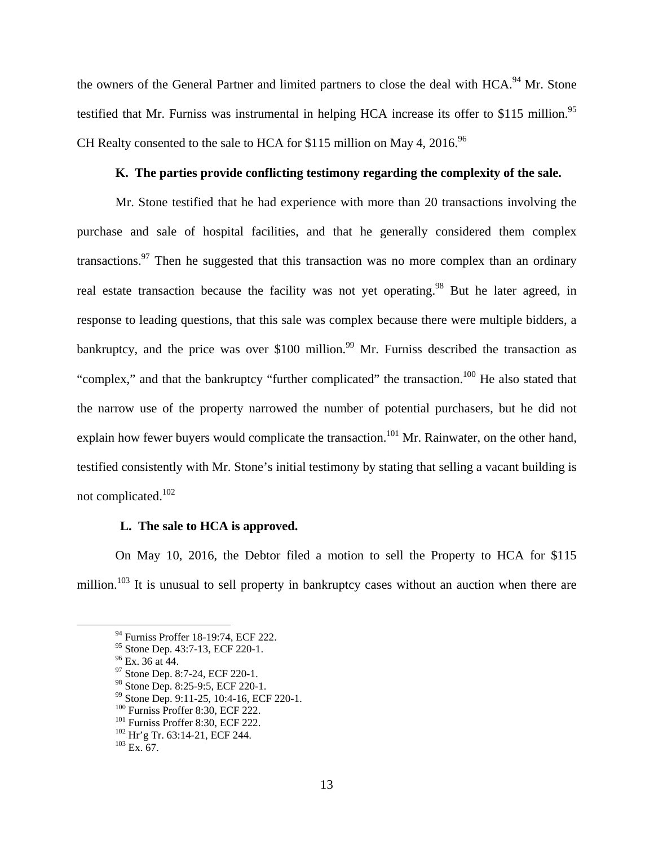the owners of the General Partner and limited partners to close the deal with HCA.<sup>94</sup> Mr. Stone testified that Mr. Furniss was instrumental in helping HCA increase its offer to \$115 million.<sup>95</sup> CH Realty consented to the sale to HCA for \$115 million on May 4, 2016.<sup>96</sup>

## **K. The parties provide conflicting testimony regarding the complexity of the sale.**

Mr. Stone testified that he had experience with more than 20 transactions involving the purchase and sale of hospital facilities, and that he generally considered them complex transactions.<sup>97</sup> Then he suggested that this transaction was no more complex than an ordinary real estate transaction because the facility was not yet operating.<sup>98</sup> But he later agreed, in response to leading questions, that this sale was complex because there were multiple bidders, a bankruptcy, and the price was over  $$100$  million.<sup>99</sup> Mr. Furniss described the transaction as "complex," and that the bankruptcy "further complicated" the transaction.<sup>100</sup> He also stated that the narrow use of the property narrowed the number of potential purchasers, but he did not explain how fewer buyers would complicate the transaction.<sup>101</sup> Mr. Rainwater, on the other hand, testified consistently with Mr. Stone's initial testimony by stating that selling a vacant building is not complicated.102

#### **L. The sale to HCA is approved.**

On May 10, 2016, the Debtor filed a motion to sell the Property to HCA for \$115 million.<sup>103</sup> It is unusual to sell property in bankruptcy cases without an auction when there are

<sup>&</sup>lt;sup>94</sup> Furniss Proffer 18-19:74, ECF 222.

<sup>95</sup> Stone Dep. 43:7-13, ECF 220-1.

 $96$  Ex. 36 at 44.

<sup>97</sup> Stone Dep. 8:7-24, ECF 220-1.

<sup>98</sup> Stone Dep. 8:25-9:5, ECF 220-1.

<sup>&</sup>lt;sup>99</sup> Stone Dep. 9:11-25, 10:4-16, ECF 220-1.<br><sup>100</sup> Furniss Proffer 8:30, ECF 222.

<sup>&</sup>lt;sup>101</sup> Furniss Proffer 8:30, ECF 222.<br><sup>102</sup> Hr'g Tr. 63:14-21, ECF 244.<br><sup>103</sup> Ex. 67.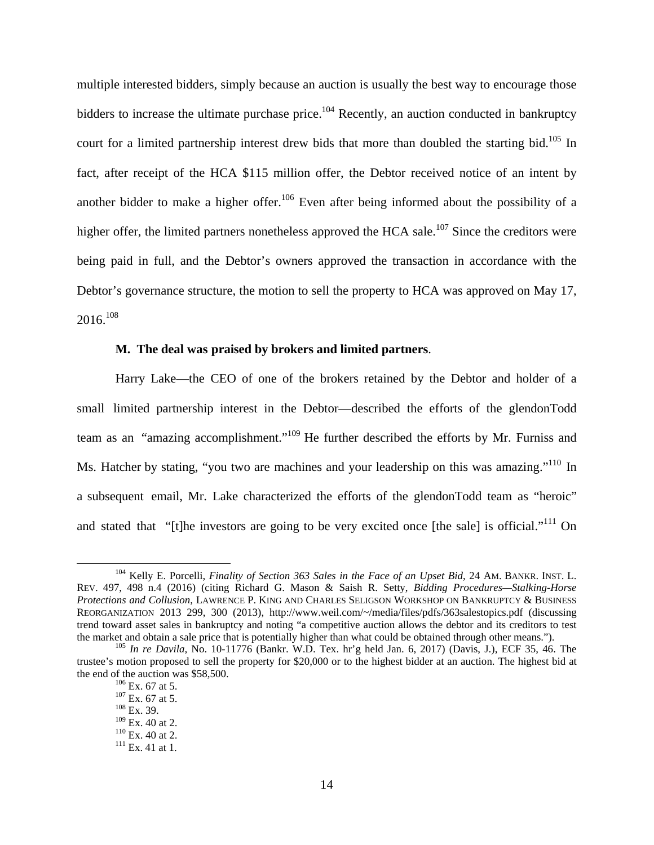multiple interested bidders, simply because an auction is usually the best way to encourage those bidders to increase the ultimate purchase price.<sup>104</sup> Recently, an auction conducted in bankruptcy court for a limited partnership interest drew bids that more than doubled the starting bid.<sup>105</sup> In fact, after receipt of the HCA \$115 million offer, the Debtor received notice of an intent by another bidder to make a higher offer.<sup>106</sup> Even after being informed about the possibility of a higher offer, the limited partners nonetheless approved the HCA sale.<sup>107</sup> Since the creditors were being paid in full, and the Debtor's owners approved the transaction in accordance with the Debtor's governance structure, the motion to sell the property to HCA was approved on May 17,  $2016.<sup>108</sup>$ 

### **M. The deal was praised by brokers and limited partners**.

Harry Lake—the CEO of one of the brokers retained by the Debtor and holder of a small limited partnership interest in the Debtor—described the efforts of the glendonTodd team as an "amazing accomplishment."<sup>109</sup> He further described the efforts by Mr. Furniss and Ms. Hatcher by stating, "you two are machines and your leadership on this was amazing."<sup>110</sup> In a subsequent email, Mr. Lake characterized the efforts of the glendonTodd team as "heroic" and stated that "[t]he investors are going to be very excited once [the sale] is official."<sup>111</sup> On

 <sup>104</sup> Kelly E. Porcelli, *Finality of Section 363 Sales in the Face of an Upset Bid*, 24 AM. BANKR. INST. L. REV. 497, 498 n.4 (2016) (citing Richard G. Mason & Saish R. Setty, *Bidding Procedures—Stalking-Horse Protections and Collusion*, LAWRENCE P. KING AND CHARLES SELIGSON WORKSHOP ON BANKRUPTCY & BUSINESS REORGANIZATION 2013 299, 300 (2013), http://www.weil.com/~/media/files/pdfs/363salestopics.pdf (discussing trend toward asset sales in bankruptcy and noting "a competitive auction allows the debtor and its creditors to test the market and obtain a sale price that is potentially higher than what could be obtained through other means."). <sup>105</sup> *In re Davila*, No. 10-11776 (Bankr. W.D. Tex. hr'g held Jan. 6, 2017) (Davis, J.), ECF 35, 46. The

trustee's motion proposed to sell the property for \$20,000 or to the highest bidder at an auction. The highest bid at the end of the auction was \$58,500.<br>  $^{106}$  Ex. 67 at 5.<br>  $^{107}$  Ex. 67 at 5.<br>  $^{108}$  Ex. 39.<br>  $^{109}$  Ex. 40 at 2.

 $^{110}$  Ex. 40 at 2.<br> $^{111}$  Ex. 41 at 1.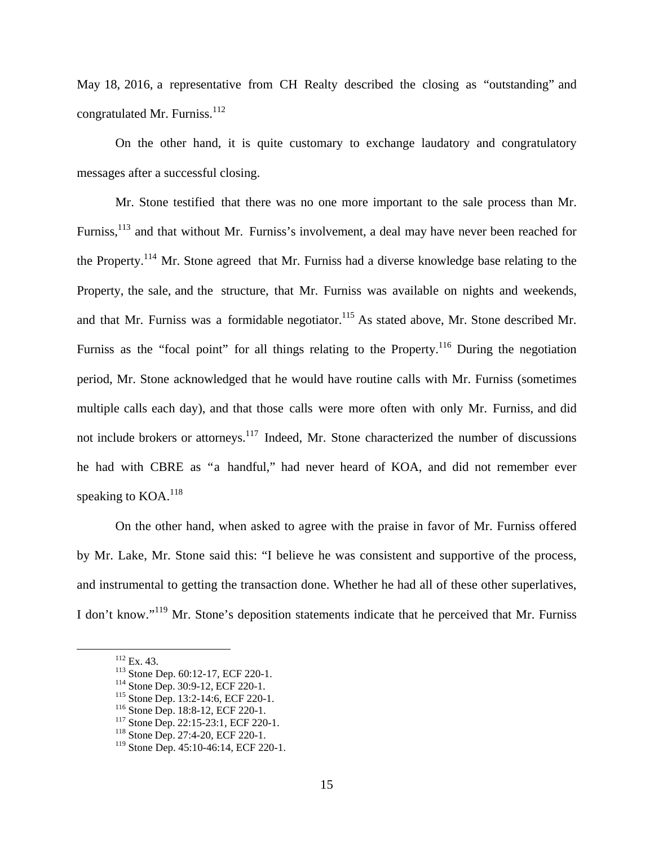May 18, 2016, a representative from CH Realty described the closing as "outstanding" and congratulated Mr. Furniss.<sup>112</sup>

On the other hand, it is quite customary to exchange laudatory and congratulatory messages after a successful closing.

Mr. Stone testified that there was no one more important to the sale process than Mr. Furniss,<sup>113</sup> and that without Mr. Furniss's involvement, a deal may have never been reached for the Property.<sup>114</sup> Mr. Stone agreed that Mr. Furniss had a diverse knowledge base relating to the Property, the sale, and the structure, that Mr. Furniss was available on nights and weekends, and that Mr. Furniss was a formidable negotiator.<sup>115</sup> As stated above, Mr. Stone described Mr. Furniss as the "focal point" for all things relating to the Property.<sup>116</sup> During the negotiation period, Mr. Stone acknowledged that he would have routine calls with Mr. Furniss (sometimes multiple calls each day), and that those calls were more often with only Mr. Furniss, and did not include brokers or attorneys.<sup>117</sup> Indeed, Mr. Stone characterized the number of discussions he had with CBRE as "a handful," had never heard of KOA, and did not remember ever speaking to KOA.<sup>118</sup>

On the other hand, when asked to agree with the praise in favor of Mr. Furniss offered by Mr. Lake, Mr. Stone said this: "I believe he was consistent and supportive of the process, and instrumental to getting the transaction done. Whether he had all of these other superlatives, I don't know."119 Mr. Stone's deposition statements indicate that he perceived that Mr. Furniss

<sup>&</sup>lt;sup>112</sup> Ex. 43.<br>
<sup>113</sup> Stone Dep. 60:12-17, ECF 220-1.<br>
<sup>114</sup> Stone Dep. 30:9-12, ECF 220-1.<br>
<sup>115</sup> Stone Dep. 13:2-14:6, ECF 220-1.<br>
<sup>116</sup> Stone Dep. 18:8-12, ECF 220-1.<br>
<sup>117</sup> Stone Dep. 22:15-23:1, ECF 220-1.<br>
<sup>117</sup> Stone

<sup>119</sup> Stone Dep. 45:10-46:14, ECF 220-1.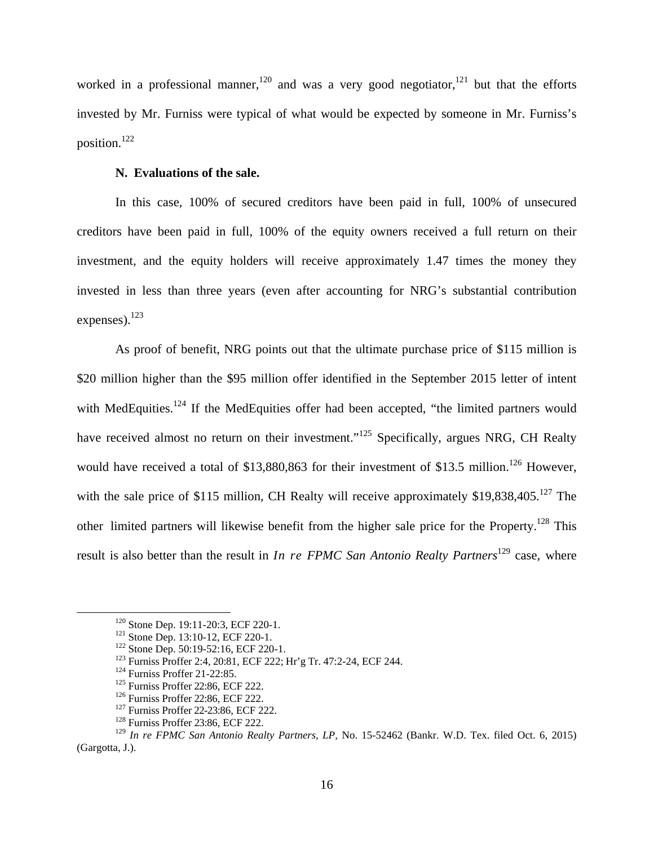worked in a professional manner,<sup>120</sup> and was a very good negotiator,<sup>121</sup> but that the efforts invested by Mr. Furniss were typical of what would be expected by someone in Mr. Furniss's position.122

### **N. Evaluations of the sale.**

In this case, 100% of secured creditors have been paid in full, 100% of unsecured creditors have been paid in full, 100% of the equity owners received a full return on their investment, and the equity holders will receive approximately 1.47 times the money they invested in less than three years (even after accounting for NRG's substantial contribution expenses).<sup>123</sup>

As proof of benefit, NRG points out that the ultimate purchase price of \$115 million is \$20 million higher than the \$95 million offer identified in the September 2015 letter of intent with MedEquities.<sup>124</sup> If the MedEquities offer had been accepted, "the limited partners would have received almost no return on their investment."<sup>125</sup> Specifically, argues NRG, CH Realty would have received a total of \$13,880,863 for their investment of \$13.5 million.<sup>126</sup> However, with the sale price of \$115 million, CH Realty will receive approximately  $$19,838,405$ <sup>127</sup> The other limited partners will likewise benefit from the higher sale price for the Property.<sup>128</sup> This result is also better than the result in *In re FPMC San Antonio Realty Partners*<sup>129</sup> case, where

<sup>&</sup>lt;sup>120</sup> Stone Dep. 19:11-20:3, ECF 220-1.<br>
<sup>121</sup> Stone Dep. 13:10-12, ECF 220-1.<br>
<sup>122</sup> Stone Dep. 50:19-52:16, ECF 220-1.<br>
<sup>123</sup> Furniss Proffer 2:4, 20:81, ECF 222; Hr'g Tr. 47:2-24, ECF 244.<br>
<sup>124</sup> Furniss Proffer 21-22:

<sup>129</sup> *In re FPMC San Antonio Realty Partners, LP,* No. 15-52462 (Bankr. W.D. Tex. filed Oct. 6, 2015) (Gargotta, J.).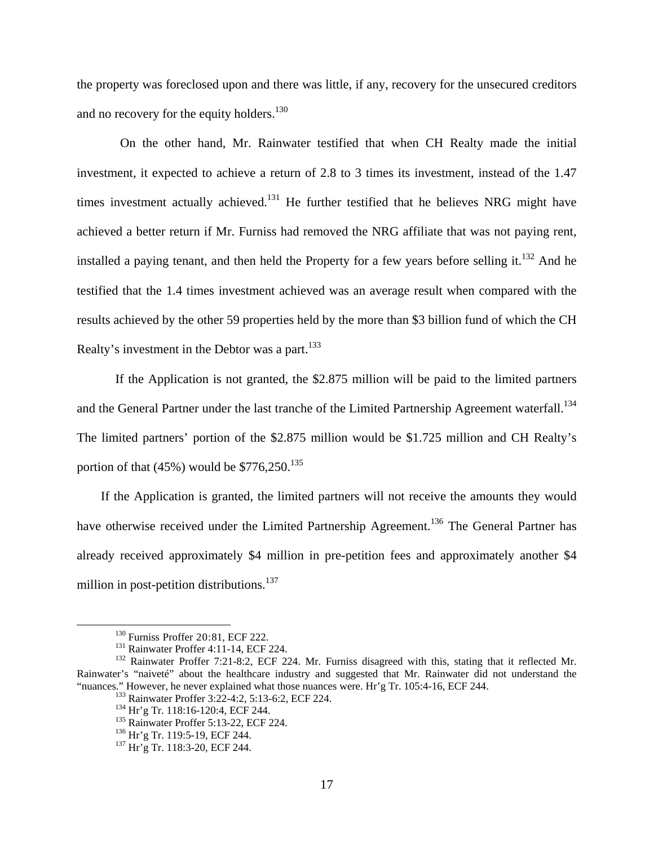the property was foreclosed upon and there was little, if any, recovery for the unsecured creditors and no recovery for the equity holders.<sup>130</sup>

On the other hand, Mr. Rainwater testified that when CH Realty made the initial investment, it expected to achieve a return of 2.8 to 3 times its investment, instead of the 1.47 times investment actually achieved.<sup>131</sup> He further testified that he believes NRG might have achieved a better return if Mr. Furniss had removed the NRG affiliate that was not paying rent, installed a paying tenant, and then held the Property for a few years before selling it.<sup>132</sup> And he testified that the 1.4 times investment achieved was an average result when compared with the results achieved by the other 59 properties held by the more than \$3 billion fund of which the CH Realty's investment in the Debtor was a part.<sup>133</sup>

If the Application is not granted, the \$2.875 million will be paid to the limited partners and the General Partner under the last tranche of the Limited Partnership Agreement waterfall.<sup>134</sup> The limited partners' portion of the \$2.875 million would be \$1.725 million and CH Realty's portion of that  $(45%)$  would be \$776,250.<sup>135</sup>

If the Application is granted, the limited partners will not receive the amounts they would have otherwise received under the Limited Partnership Agreement.<sup>136</sup> The General Partner has already received approximately \$4 million in pre-petition fees and approximately another \$4 million in post-petition distributions.<sup>137</sup>

<sup>&</sup>lt;sup>130</sup> Furniss Proffer 20:81, ECF 222.<br><sup>131</sup> Rainwater Proffer 4:11-14, ECF 224. 132 Rainwater Proffer 7:21-8:2, ECF 224. Mr. Furniss disagreed with this, stating that it reflected Mr. Rainwater's "naiveté" about the healthcare industry and suggested that Mr. Rainwater did not understand the "nuances." However, he never explained what those nuances were. Hr'g Tr. 105:4-16, ECF 244.<br>
<sup>133</sup> Rainwater Proffer 3:22-4:2, 5:13-6:2, ECF 224.<br>
<sup>134</sup> Hr'g Tr. 118:16-120:4, ECF 244.<br>
<sup>135</sup> Rainwater Proffer 5:13-22, ECF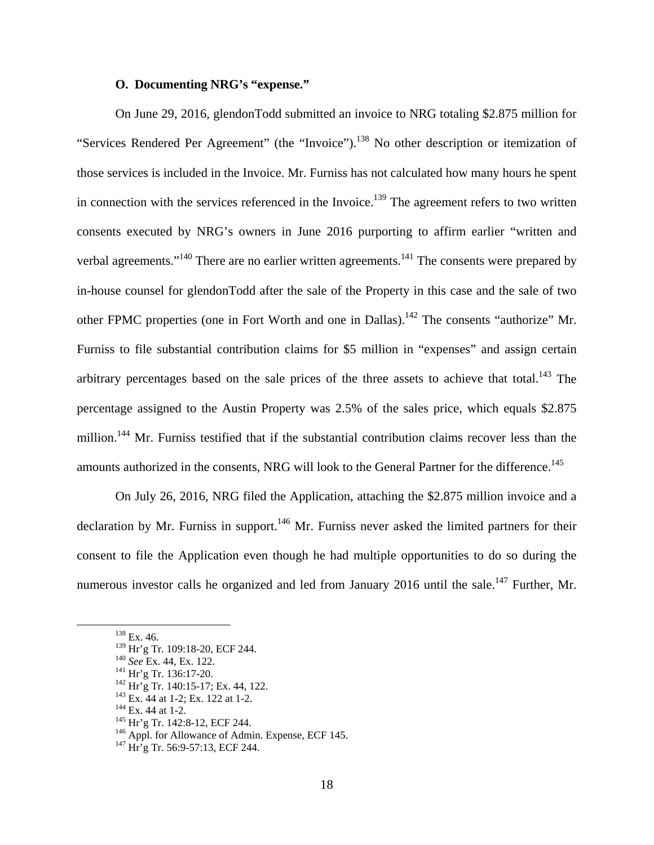## **O. Documenting NRG's "expense."**

 On June 29, 2016, glendonTodd submitted an invoice to NRG totaling \$2.875 million for "Services Rendered Per Agreement" (the "Invoice").<sup>138</sup> No other description or itemization of those services is included in the Invoice. Mr. Furniss has not calculated how many hours he spent in connection with the services referenced in the Invoice.<sup>139</sup> The agreement refers to two written consents executed by NRG's owners in June 2016 purporting to affirm earlier "written and verbal agreements."<sup>140</sup> There are no earlier written agreements.<sup>141</sup> The consents were prepared by in-house counsel for glendonTodd after the sale of the Property in this case and the sale of two other FPMC properties (one in Fort Worth and one in Dallas).<sup>142</sup> The consents "authorize" Mr. Furniss to file substantial contribution claims for \$5 million in "expenses" and assign certain arbitrary percentages based on the sale prices of the three assets to achieve that total.<sup>143</sup> The percentage assigned to the Austin Property was 2.5% of the sales price, which equals \$2.875 million.<sup>144</sup> Mr. Furniss testified that if the substantial contribution claims recover less than the amounts authorized in the consents, NRG will look to the General Partner for the difference.<sup>145</sup>

On July 26, 2016, NRG filed the Application, attaching the \$2.875 million invoice and a declaration by Mr. Furniss in support.<sup>146</sup> Mr. Furniss never asked the limited partners for their consent to file the Application even though he had multiple opportunities to do so during the numerous investor calls he organized and led from January 2016 until the sale.<sup>147</sup> Further, Mr.

 $^{138}$  Ex. 46.<br> $^{139}$  Hr'g Tr. 109:18-20, ECF 244.

<sup>&</sup>lt;sup>140</sup> See Ex. 44, Ex. 122.<br>
<sup>141</sup> Hr'g Tr. 136:17-20.<br>
<sup>142</sup> Hr'g Tr. 140:15-17; Ex. 44, 122.<br>
<sup>142</sup> Ex. 44 at 1-2; Ex. 122 at 1-2.<br>
<sup>144</sup> Ex. 44 at 1-2.<br>
<sup>144</sup> Ex. 44 at 1-2.<br>
<sup>145</sup> Hr'g Tr. 142:8-12, ECF 244.<br>
<sup>146</sup> App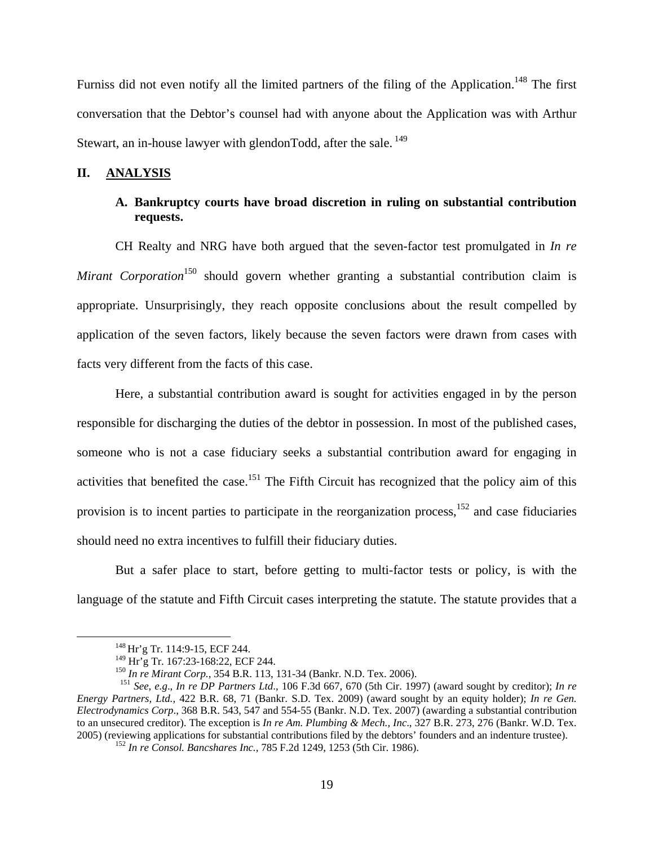Furniss did not even notify all the limited partners of the filing of the Application.<sup>148</sup> The first conversation that the Debtor's counsel had with anyone about the Application was with Arthur Stewart, an in-house lawyer with glendonTodd, after the sale.<sup>149</sup>

## **II. ANALYSIS**

# **A. Bankruptcy courts have broad discretion in ruling on substantial contribution requests.**

CH Realty and NRG have both argued that the seven-factor test promulgated in *In re Mirant Corporation*<sup>150</sup> should govern whether granting a substantial contribution claim is appropriate. Unsurprisingly, they reach opposite conclusions about the result compelled by application of the seven factors, likely because the seven factors were drawn from cases with facts very different from the facts of this case.

Here, a substantial contribution award is sought for activities engaged in by the person responsible for discharging the duties of the debtor in possession. In most of the published cases, someone who is not a case fiduciary seeks a substantial contribution award for engaging in activities that benefited the case.<sup>151</sup> The Fifth Circuit has recognized that the policy aim of this provision is to incent parties to participate in the reorganization process,  $152$  and case fiduciaries should need no extra incentives to fulfill their fiduciary duties.

But a safer place to start, before getting to multi-factor tests or policy, is with the language of the statute and Fifth Circuit cases interpreting the statute. The statute provides that a

<sup>&</sup>lt;sup>148</sup> Hr'g Tr. 114:9-15, ECF 244.<br><sup>149</sup> Hr'g Tr. 167:23-168:22, ECF 244.

<sup>&</sup>lt;sup>150</sup> In re Mirant Corp., 354 B.R. 113, 131-34 (Bankr. N.D. Tex. 2006).<br><sup>151</sup> See, e.g., In re DP Partners Ltd., 106 F.3d 667, 670 (5th Cir. 1997) (award sought by creditor); In re *Energy Partners, Ltd.,* 422 B.R. 68, 71 (Bankr. S.D. Tex. 2009) (award sought by an equity holder); *In re Gen. Electrodynamics Corp*., 368 B.R. 543, 547 and 554-55 (Bankr. N.D. Tex. 2007) (awarding a substantial contribution to an unsecured creditor). The exception is *In re Am. Plumbing & Mech., Inc*., 327 B.R. 273, 276 (Bankr. W.D. Tex. 2005) (reviewing applications for substantial contributions filed by the debtors' founders and an indenture trustee). 152 *In re Consol. Bancshares Inc.,* 785 F.2d 1249, 1253 (5th Cir. 1986).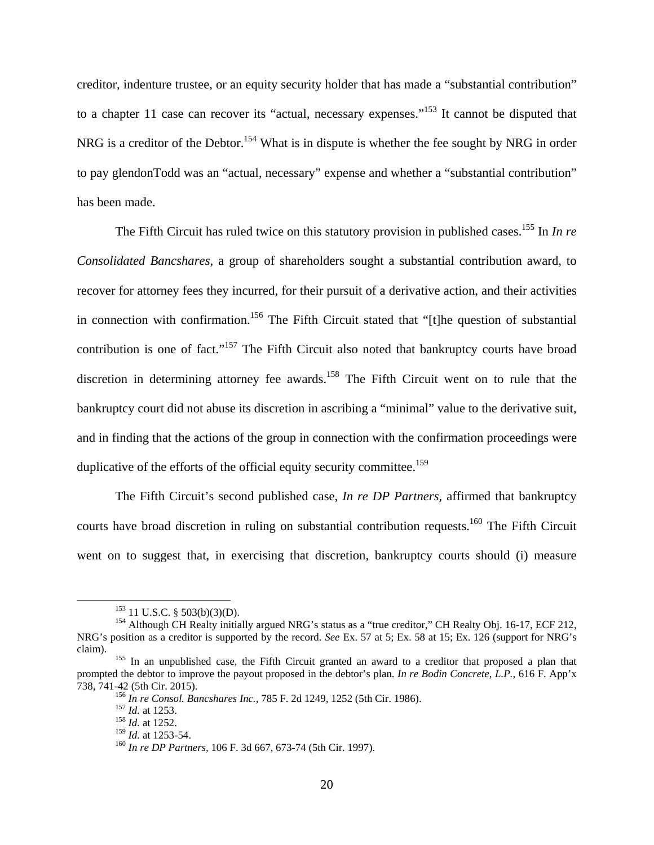creditor, indenture trustee, or an equity security holder that has made a "substantial contribution" to a chapter 11 case can recover its "actual, necessary expenses."<sup>153</sup> It cannot be disputed that NRG is a creditor of the Debtor.<sup>154</sup> What is in dispute is whether the fee sought by NRG in order to pay glendonTodd was an "actual, necessary" expense and whether a "substantial contribution" has been made.

The Fifth Circuit has ruled twice on this statutory provision in published cases.<sup>155</sup> In *In re Consolidated Bancshares*, a group of shareholders sought a substantial contribution award, to recover for attorney fees they incurred, for their pursuit of a derivative action, and their activities in connection with confirmation.156 The Fifth Circuit stated that "[t]he question of substantial contribution is one of fact."<sup>157</sup> The Fifth Circuit also noted that bankruptcy courts have broad discretion in determining attorney fee awards.<sup>158</sup> The Fifth Circuit went on to rule that the bankruptcy court did not abuse its discretion in ascribing a "minimal" value to the derivative suit, and in finding that the actions of the group in connection with the confirmation proceedings were duplicative of the efforts of the official equity security committee.<sup>159</sup>

The Fifth Circuit's second published case, *In re DP Partners*, affirmed that bankruptcy courts have broad discretion in ruling on substantial contribution requests.<sup>160</sup> The Fifth Circuit went on to suggest that, in exercising that discretion, bankruptcy courts should (i) measure

<sup>&</sup>lt;sup>153</sup> 11 U.S.C. § 503(b)(3)(D).<br><sup>154</sup> Although CH Realty initially argued NRG's status as a "true creditor," CH Realty Obj. 16-17, ECF 212, NRG's position as a creditor is supported by the record. *See* Ex. 57 at 5; Ex. 58 at 15; Ex. 126 (support for NRG's claim). 155 In an unpublished case, the Fifth Circuit granted an award to a creditor that proposed a plan that

prompted the debtor to improve the payout proposed in the debtor's plan. *In re Bodin Concrete, L.P.*, 616 F. App'x

<sup>&</sup>lt;sup>156</sup> *In re Consol. Bancshares Inc.,* 785 F. 2d 1249, 1252 (5th Cir. 1986).<br><sup>157</sup> *Id.* at 1253.<br><sup>158</sup> *Id.* at 1252.<br><sup>159</sup> *Id.* at 1253-54.

<sup>&</sup>lt;sup>160</sup> *In re DP Partners*, 106 F. 3d 667, 673-74 (5th Cir. 1997).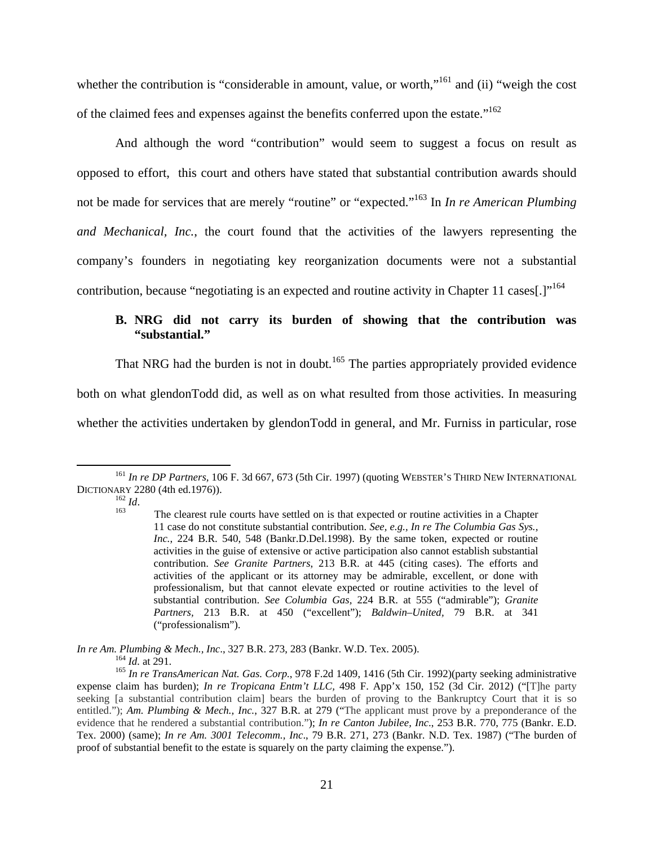whether the contribution is "considerable in amount, value, or worth,"<sup>161</sup> and (ii) "weigh the cost of the claimed fees and expenses against the benefits conferred upon the estate."162

And although the word "contribution" would seem to suggest a focus on result as opposed to effort, this court and others have stated that substantial contribution awards should not be made for services that are merely "routine" or "expected."163 In *In re American Plumbing and Mechanical, Inc.*, the court found that the activities of the lawyers representing the company's founders in negotiating key reorganization documents were not a substantial contribution, because "negotiating is an expected and routine activity in Chapter 11 cases.  $\lfloor$ <sup>164</sup>

# **B. NRG did not carry its burden of showing that the contribution was "substantial."**

That NRG had the burden is not in doubt*.* 165 The parties appropriately provided evidence both on what glendonTodd did, as well as on what resulted from those activities. In measuring whether the activities undertaken by glendonTodd in general, and Mr. Furniss in particular, rose

 <sup>161</sup> *In re DP Partners,* 106 F. 3d 667, 673 (5th Cir. 1997) (quoting WEBSTER'S THIRD NEW INTERNATIONAL DICTIONARY 2280 (4th ed.1976)).<br><sup>162</sup> *Id*. The clearest rule courts have settled on is that expected or routine activities in a Chapter

<sup>11</sup> case do not constitute substantial contribution. *See, e.g., In re The Columbia Gas Sys., Inc.*, 224 B.R. 540, 548 (Bankr.D.Del.1998). By the same token, expected or routine activities in the guise of extensive or active participation also cannot establish substantial contribution. *See Granite Partners*, 213 B.R. at 445 (citing cases). The efforts and activities of the applicant or its attorney may be admirable, excellent, or done with professionalism, but that cannot elevate expected or routine activities to the level of substantial contribution. *See Columbia Gas,* 224 B.R. at 555 ("admirable"); *Granite Partners,* 213 B.R. at 450 ("excellent"); *Baldwin–United,* 79 B.R. at 341 ("professionalism").

*In re Am. Plumbing & Mech., Inc., 327 B.R. 273, 283 (Bankr. W.D. Tex. 2005).*<br><sup>164</sup> *Id.* at 291.<br><sup>165</sup> *In re TransAmerican Nat. Gas. Corp.*, 978 F.2d 1409, 1416 (5th Cir. 1992)(party seeking administrative expense claim has burden); *In re Tropicana Entm't LLC,* 498 F. App'x 150, 152 (3d Cir. 2012) ("[T]he party seeking [a substantial contribution claim] bears the burden of proving to the Bankruptcy Court that it is so entitled."); *Am. Plumbing & Mech., Inc.*, 327 B.R. at 279 ("The applicant must prove by a preponderance of the evidence that he rendered a substantial contribution."); *In re Canton Jubilee, Inc*., 253 B.R. 770, 775 (Bankr. E.D. Tex. 2000) (same); *In re Am. 3001 Telecomm., Inc*., 79 B.R. 271, 273 (Bankr. N.D. Tex. 1987) ("The burden of proof of substantial benefit to the estate is squarely on the party claiming the expense.").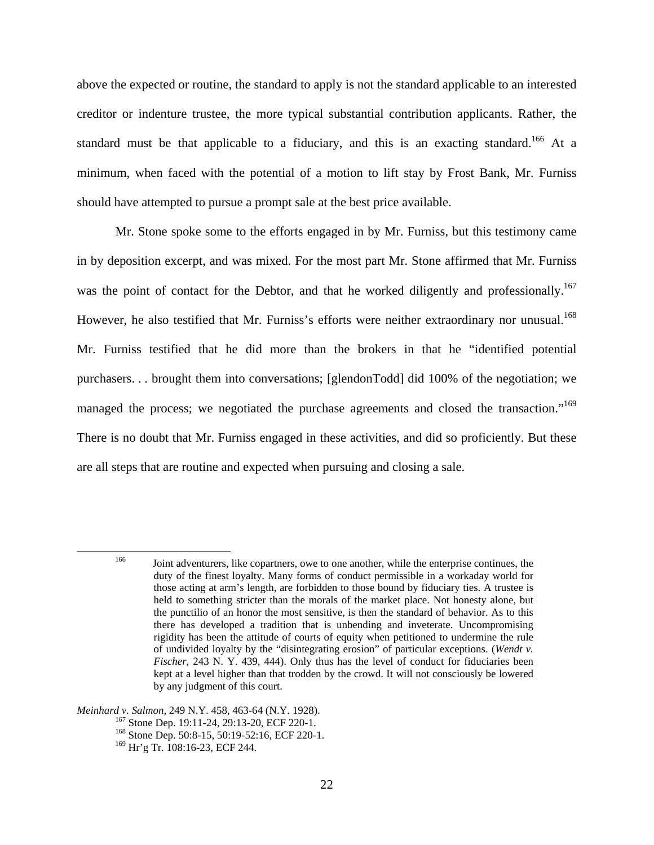above the expected or routine, the standard to apply is not the standard applicable to an interested creditor or indenture trustee, the more typical substantial contribution applicants. Rather, the standard must be that applicable to a fiduciary, and this is an exacting standard.<sup>166</sup> At a minimum, when faced with the potential of a motion to lift stay by Frost Bank, Mr. Furniss should have attempted to pursue a prompt sale at the best price available.

Mr. Stone spoke some to the efforts engaged in by Mr. Furniss, but this testimony came in by deposition excerpt, and was mixed. For the most part Mr. Stone affirmed that Mr. Furniss was the point of contact for the Debtor, and that he worked diligently and professionally.<sup>167</sup> However, he also testified that Mr. Furniss's efforts were neither extraordinary nor unusual.<sup>168</sup> Mr. Furniss testified that he did more than the brokers in that he "identified potential purchasers. . . brought them into conversations; [glendonTodd] did 100% of the negotiation; we managed the process; we negotiated the purchase agreements and closed the transaction."<sup>169</sup> There is no doubt that Mr. Furniss engaged in these activities, and did so proficiently. But these are all steps that are routine and expected when pursuing and closing a sale.

*Meinhard v. Salmon*, 249 N.Y. 458, 463-64 (N.Y. 1928).<br><sup>167</sup> Stone Dep. 19:11-24, 29:13-20, ECF 220-1.<br><sup>168</sup> Stone Dep. 50:8-15, 50:19-52:16, ECF 220-1.

<sup>&</sup>lt;sup>166</sup> Joint adventurers, like copartners, owe to one another, while the enterprise continues, the duty of the finest loyalty. Many forms of conduct permissible in a workaday world for those acting at arm's length, are forbidden to those bound by fiduciary ties. A trustee is held to something stricter than the morals of the market place. Not honesty alone, but the punctilio of an honor the most sensitive, is then the standard of behavior. As to this there has developed a tradition that is unbending and inveterate. Uncompromising rigidity has been the attitude of courts of equity when petitioned to undermine the rule of undivided loyalty by the "disintegrating erosion" of particular exceptions. (*Wendt v. Fischer*, 243 N. Y. 439, 444). Only thus has the level of conduct for fiduciaries been kept at a level higher than that trodden by the crowd. It will not consciously be lowered by any judgment of this court.

<sup>169</sup> Hr'g Tr. 108:16-23, ECF 244.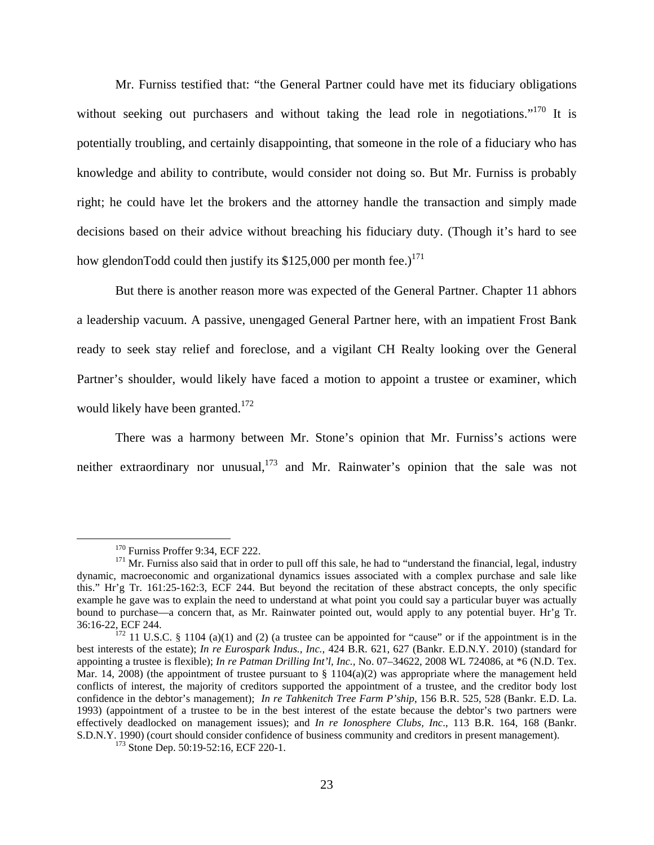Mr. Furniss testified that: "the General Partner could have met its fiduciary obligations without seeking out purchasers and without taking the lead role in negotiations."<sup>170</sup> It is potentially troubling, and certainly disappointing, that someone in the role of a fiduciary who has knowledge and ability to contribute, would consider not doing so. But Mr. Furniss is probably right; he could have let the brokers and the attorney handle the transaction and simply made decisions based on their advice without breaching his fiduciary duty. (Though it's hard to see how glendonTodd could then justify its  $$125,000$  per month fee.)<sup>171</sup>

But there is another reason more was expected of the General Partner. Chapter 11 abhors a leadership vacuum. A passive, unengaged General Partner here, with an impatient Frost Bank ready to seek stay relief and foreclose, and a vigilant CH Realty looking over the General Partner's shoulder, would likely have faced a motion to appoint a trustee or examiner, which would likely have been granted.<sup>172</sup>

There was a harmony between Mr. Stone's opinion that Mr. Furniss's actions were neither extraordinary nor unusual, $173$  and Mr. Rainwater's opinion that the sale was not

<sup>&</sup>lt;sup>170</sup> Furniss Proffer 9:34, ECF 222.<br><sup>171</sup> Mr. Furniss also said that in order to pull off this sale, he had to "understand the financial, legal, industry dynamic, macroeconomic and organizational dynamics issues associated with a complex purchase and sale like this." Hr'g Tr. 161:25-162:3, ECF 244. But beyond the recitation of these abstract concepts, the only specific example he gave was to explain the need to understand at what point you could say a particular buyer was actually bound to purchase—a concern that, as Mr. Rainwater pointed out, would apply to any potential buyer. Hr'g Tr. 36:16-22, ECF 244.  $\frac{172}{172}$  11 U.S.C. § 1104 (a)(1) and (2) (a trustee can be appointed for "cause" or if the appointment is in the

best interests of the estate); *In re Eurospark Indus., Inc.*, 424 B.R. 621, 627 (Bankr. E.D.N.Y. 2010) (standard for appointing a trustee is flexible); *In re Patman Drilling Int'l, Inc.,* No. 07–34622, 2008 WL 724086, at \*6 (N.D. Tex. Mar. 14, 2008) (the appointment of trustee pursuant to  $\S 1104(a)(2)$  was appropriate where the management held conflicts of interest, the majority of creditors supported the appointment of a trustee, and the creditor body lost confidence in the debtor's management); *In re Tahkenitch Tree Farm P'ship*, 156 B.R. 525, 528 (Bankr. E.D. La. 1993) (appointment of a trustee to be in the best interest of the estate because the debtor's two partners were effectively deadlocked on management issues); and *In re Ionosphere Clubs, Inc*., 113 B.R. 164, 168 (Bankr. S.D.N.Y. 1990) (court should consider confidence of business community and creditors in present management). 173 Stone Dep. 50:19-52:16, ECF 220-1.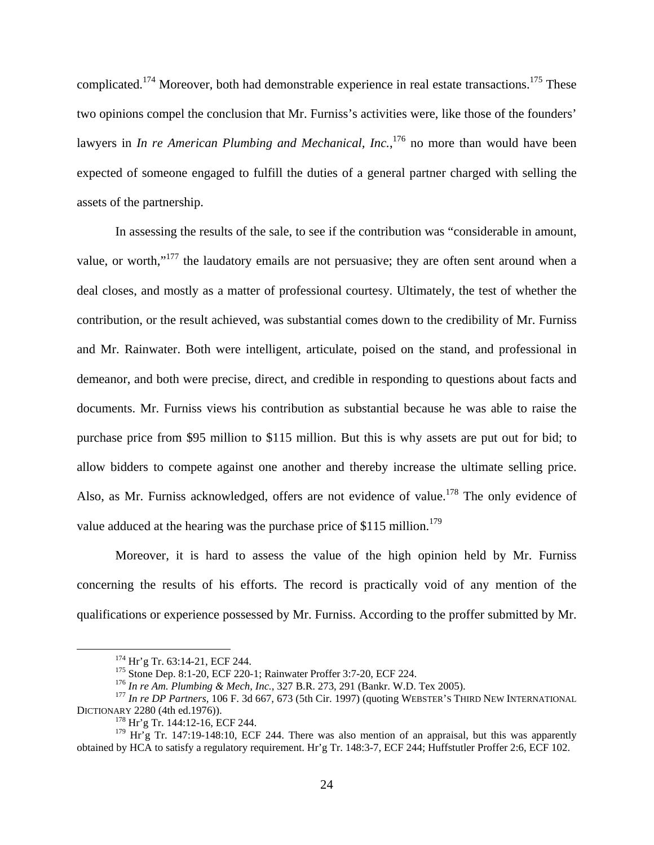complicated.<sup>174</sup> Moreover, both had demonstrable experience in real estate transactions.<sup>175</sup> These two opinions compel the conclusion that Mr. Furniss's activities were, like those of the founders' lawyers in *In re American Plumbing and Mechanical, Inc.*,<sup>176</sup> no more than would have been expected of someone engaged to fulfill the duties of a general partner charged with selling the assets of the partnership.

In assessing the results of the sale, to see if the contribution was "considerable in amount, value, or worth,"<sup>177</sup> the laudatory emails are not persuasive; they are often sent around when a deal closes, and mostly as a matter of professional courtesy. Ultimately, the test of whether the contribution, or the result achieved, was substantial comes down to the credibility of Mr. Furniss and Mr. Rainwater. Both were intelligent, articulate, poised on the stand, and professional in demeanor, and both were precise, direct, and credible in responding to questions about facts and documents. Mr. Furniss views his contribution as substantial because he was able to raise the purchase price from \$95 million to \$115 million. But this is why assets are put out for bid; to allow bidders to compete against one another and thereby increase the ultimate selling price. Also, as Mr. Furniss acknowledged, offers are not evidence of value.<sup>178</sup> The only evidence of value adduced at the hearing was the purchase price of \$115 million.<sup>179</sup>

Moreover, it is hard to assess the value of the high opinion held by Mr. Furniss concerning the results of his efforts. The record is practically void of any mention of the qualifications or experience possessed by Mr. Furniss. According to the proffer submitted by Mr.

<sup>&</sup>lt;sup>174</sup> Hr'g Tr. 63:14-21, ECF 244.<br><sup>175</sup> Stone Dep. 8:1-20, ECF 220-1; Rainwater Proffer 3:7-20, ECF 224.<br><sup>176</sup> In re Am. Plumbing & Mech, Inc., 327 B.R. 273, 291 (Bankr. W.D. Tex 2005).<br><sup>177</sup> In re DP Partners, 106 F. 3d

 $178$  Hr'g Tr. 144:12-16, ECF 244.

<sup>&</sup>lt;sup>179</sup> Hr'g Tr. 147:19-148:10, ECF 244. There was also mention of an appraisal, but this was apparently obtained by HCA to satisfy a regulatory requirement. Hr'g Tr. 148:3-7, ECF 244; Huffstutler Proffer 2:6, ECF 102.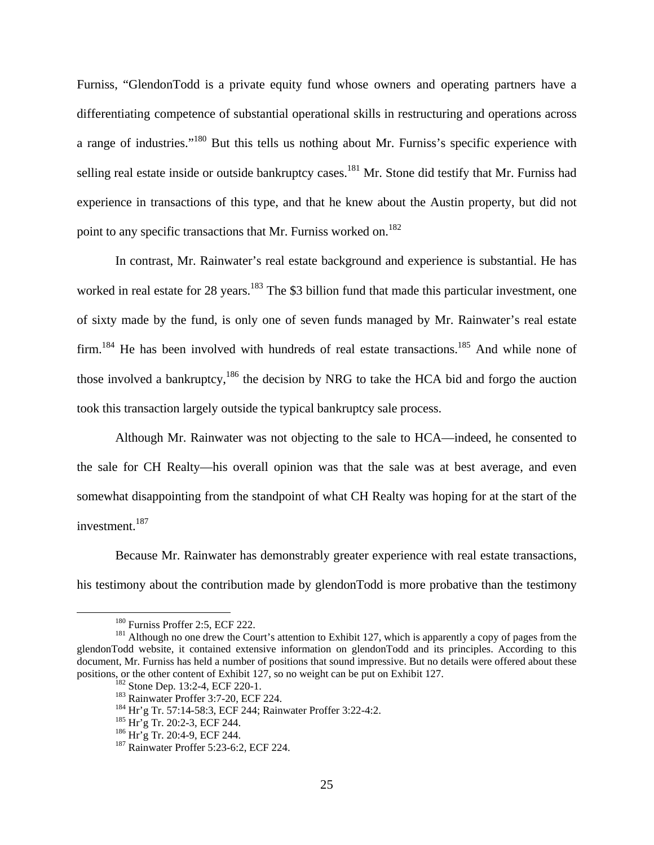Furniss, "GlendonTodd is a private equity fund whose owners and operating partners have a differentiating competence of substantial operational skills in restructuring and operations across a range of industries."180 But this tells us nothing about Mr. Furniss's specific experience with selling real estate inside or outside bankruptcy cases.<sup>181</sup> Mr. Stone did testify that Mr. Furniss had experience in transactions of this type, and that he knew about the Austin property, but did not point to any specific transactions that Mr. Furniss worked on.<sup>182</sup>

In contrast, Mr. Rainwater's real estate background and experience is substantial. He has worked in real estate for 28 years.<sup>183</sup> The \$3 billion fund that made this particular investment, one of sixty made by the fund, is only one of seven funds managed by Mr. Rainwater's real estate  $firm$ <sup>184</sup>. He has been involved with hundreds of real estate transactions.<sup>185</sup> And while none of those involved a bankruptcy, $186$  the decision by NRG to take the HCA bid and forgo the auction took this transaction largely outside the typical bankruptcy sale process.

Although Mr. Rainwater was not objecting to the sale to HCA—indeed, he consented to the sale for CH Realty—his overall opinion was that the sale was at best average, and even somewhat disappointing from the standpoint of what CH Realty was hoping for at the start of the investment.<sup>187</sup>

Because Mr. Rainwater has demonstrably greater experience with real estate transactions, his testimony about the contribution made by glendonTodd is more probative than the testimony

<sup>&</sup>lt;sup>180</sup> Furniss Proffer 2:5, ECF 222.<br><sup>181</sup> Although no one drew the Court's attention to Exhibit 127, which is apparently a copy of pages from the glendonTodd website, it contained extensive information on glendonTodd and its principles. According to this document, Mr. Furniss has held a number of positions that sound impressive. But no details were offered about these positions, or the other content of Exhibit 127, so no weight can be put on Exhibit 127.

<sup>&</sup>lt;sup>182</sup> Stone Dep. 13:2-4, ECF 220-1.<br><sup>183</sup> Rainwater Proffer 3:7-20, ECF 224.<br><sup>184</sup> Hr'g Tr. 57:14-58:3, ECF 244; Rainwater Proffer 3:22-4:2.<br><sup>185</sup> Hr'g Tr. 20:2-3, ECF 244.<br><sup>186</sup> Hr'g Tr. 20:4-9, ECF 244.<br><sup>186</sup> Hr'g Tr. 20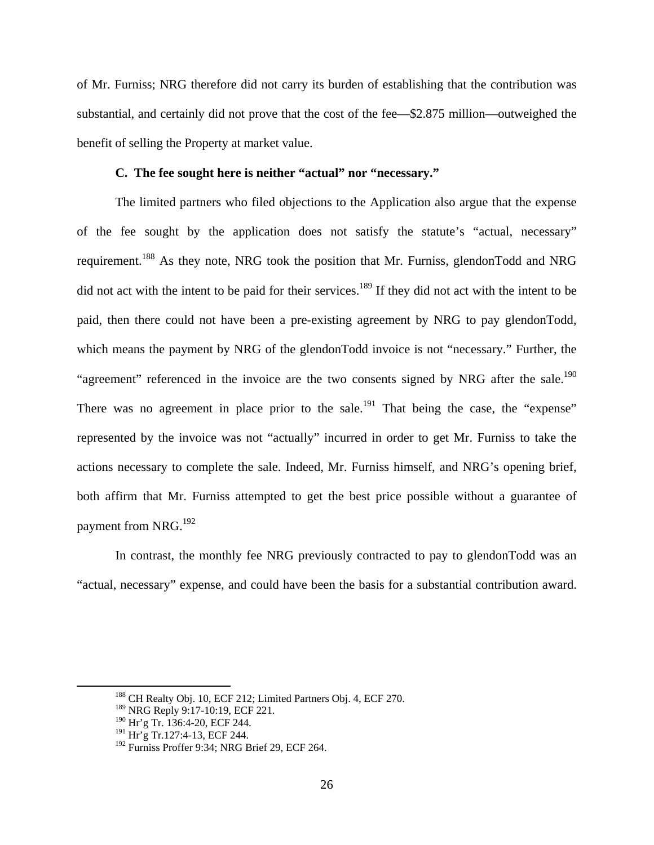of Mr. Furniss; NRG therefore did not carry its burden of establishing that the contribution was substantial, and certainly did not prove that the cost of the fee—\$2.875 million—outweighed the benefit of selling the Property at market value.

### **C. The fee sought here is neither "actual" nor "necessary."**

The limited partners who filed objections to the Application also argue that the expense of the fee sought by the application does not satisfy the statute's "actual, necessary" requirement.188 As they note, NRG took the position that Mr. Furniss, glendonTodd and NRG did not act with the intent to be paid for their services.<sup>189</sup> If they did not act with the intent to be paid, then there could not have been a pre-existing agreement by NRG to pay glendonTodd, which means the payment by NRG of the glendonTodd invoice is not "necessary." Further, the "agreement" referenced in the invoice are the two consents signed by NRG after the sale.<sup>190</sup> There was no agreement in place prior to the sale.<sup>191</sup> That being the case, the "expense" represented by the invoice was not "actually" incurred in order to get Mr. Furniss to take the actions necessary to complete the sale. Indeed, Mr. Furniss himself, and NRG's opening brief, both affirm that Mr. Furniss attempted to get the best price possible without a guarantee of payment from NRG.<sup>192</sup>

In contrast, the monthly fee NRG previously contracted to pay to glendonTodd was an "actual, necessary" expense, and could have been the basis for a substantial contribution award.

 <sup>188</sup> CH Realty Obj. 10, ECF 212; Limited Partners Obj. 4, ECF 270.

<sup>&</sup>lt;sup>189</sup> NRG Reply 9:17-10:19, ECF 221.

<sup>190</sup> Hr'g Tr. 136:4*-*20, ECF 244.

<sup>191</sup> Hr'g Tr.127:4*-*13, ECF 244.

<sup>&</sup>lt;sup>192</sup> Furniss Proffer 9:34; NRG Brief 29, ECF 264.